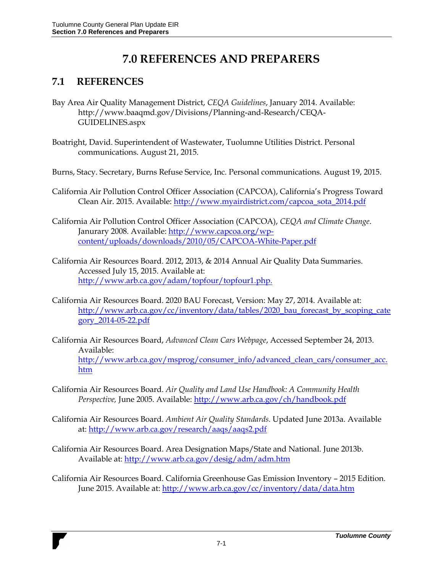# **7.0 REFERENCES AND PREPARERS**

## **7.1 REFERENCES**

- Bay Area Air Quality Management District, *CEQA Guidelines*, January 2014. Available: http://www.baaqmd.gov/Divisions/Planning-and-Research/CEQA-GUIDELINES.aspx
- Boatright, David. Superintendent of Wastewater, Tuolumne Utilities District. Personal communications. August 21, 2015.
- Burns, Stacy. Secretary, Burns Refuse Service, Inc. Personal communications. August 19, 2015.
- California Air Pollution Control Officer Association (CAPCOA), California's Progress Toward Clean Air. 2015. Available: [http://www.myairdistrict.com/capcoa\\_sota\\_2014.pdf](http://www.myairdistrict.com/capcoa_sota_2014.pdf)
- California Air Pollution Control Officer Association (CAPCOA), *CEQA and Climate Change*. Janurary 2008. Available: [http://www.capcoa.org/wp](http://www.capcoa.org/wp-content/uploads/downloads/2010/05/CAPCOA-White-Paper.pdf)[content/uploads/downloads/2010/05/CAPCOA-White-Paper.pdf](http://www.capcoa.org/wp-content/uploads/downloads/2010/05/CAPCOA-White-Paper.pdf)
- California Air Resources Board. 2012, 2013, & 2014 Annual Air Quality Data Summaries. Accessed July 15, 2015. Available at: [http://www.arb.ca.gov/adam/topfour/topfour1.php.](http://www.arb.ca.gov/adam/topfour/topfour1.php)
- California Air Resources Board. 2020 BAU Forecast, Version: May 27, 2014. Available at: [http://www.arb.ca.gov/cc/inventory/data/tables/2020\\_bau\\_forecast\\_by\\_scoping\\_cate](http://www.arb.ca.gov/cc/inventory/data/tables/2020_bau_forecast_by_scoping_category_2014-05-22.pdf) [gory\\_2014-05-22.pdf](http://www.arb.ca.gov/cc/inventory/data/tables/2020_bau_forecast_by_scoping_category_2014-05-22.pdf)
- California Air Resources Board, *Advanced Clean Cars Webpage*, Accessed September 24, 2013. Available: [http://www.arb.ca.gov/msprog/consumer\\_info/advanced\\_clean\\_cars/consumer\\_acc.](http://www.arb.ca.gov/msprog/consumer_info/advanced_clean_cars/consumer_acc.htm) [htm](http://www.arb.ca.gov/msprog/consumer_info/advanced_clean_cars/consumer_acc.htm)
- California Air Resources Board. *Air Quality and Land Use Handbook: A Community Health Perspective,* June 2005. Available:<http://www.arb.ca.gov/ch/handbook.pdf>
- California Air Resources Board. *Ambient Air Quality Standards.* Updated June 2013a. Available at:<http://www.arb.ca.gov/research/aaqs/aaqs2.pdf>
- California Air Resources Board. Area Designation Maps/State and National. June 2013b. Available at:<http://www.arb.ca.gov/desig/adm/adm.htm>
- California Air Resources Board. California Greenhouse Gas Emission Inventory 2015 Edition. June 2015. Available at:<http://www.arb.ca.gov/cc/inventory/data/data.htm>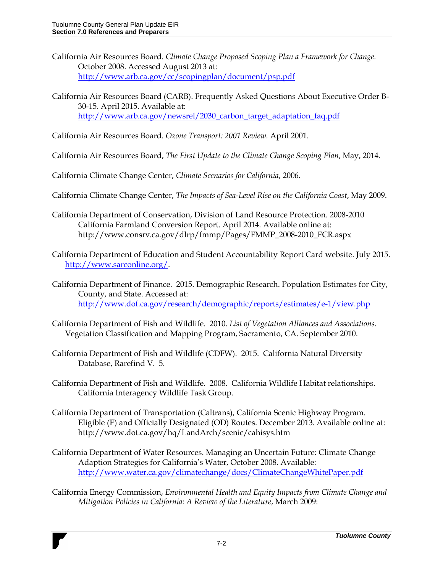- California Air Resources Board. *Climate Change Proposed Scoping Plan a Framework for Change.* October 2008. Accessed August 2013 at: <http://www.arb.ca.gov/cc/scopingplan/document/psp.pdf>
- California Air Resources Board (CARB). Frequently Asked Questions About Executive Order B-30-15. April 2015. Available at: [http://www.arb.ca.gov/newsrel/2030\\_carbon\\_target\\_adaptation\\_faq.pdf](http://www.arb.ca.gov/newsrel/2030_carbon_target_adaptation_faq.pdf)

California Air Resources Board. *Ozone Transport: 2001 Review.* April 2001.

California Air Resources Board, *The First Update to the Climate Change Scoping Plan*, May, 2014.

California Climate Change Center, *Climate Scenarios for California*, 2006.

California Climate Change Center, *The Impacts of Sea-Level Rise on the California Coast*, May 2009.

- California Department of Conservation, Division of Land Resource Protection. 2008-2010 California Farmland Conversion Report. April 2014. Available online at: http://www.consrv.ca.gov/dlrp/fmmp/Pages/FMMP\_2008-2010\_FCR.aspx
- California Department of Education and Student Accountability Report Card website. July 2015. [http://www.sarconline.org/.](http://www.sarconline.org/)
- California Department of Finance. 2015. Demographic Research. Population Estimates for City, County, and State. Accessed at: <http://www.dof.ca.gov/research/demographic/reports/estimates/e-1/view.php>
- California Department of Fish and Wildlife. 2010. *List of Vegetation Alliances and Associations.* Vegetation Classification and Mapping Program, Sacramento, CA. September 2010.
- California Department of Fish and Wildlife (CDFW). 2015. California Natural Diversity Database, Rarefind V. 5.
- California Department of Fish and Wildlife. 2008. California Wildlife Habitat relationships. California Interagency Wildlife Task Group.
- California Department of Transportation (Caltrans), California Scenic Highway Program. Eligible (E) and Officially Designated (OD) Routes. December 2013. Available online at: http://www.dot.ca.gov/hq/LandArch/scenic/cahisys.htm
- California Department of Water Resources. Managing an Uncertain Future: Climate Change Adaption Strategies for California's Water, October 2008. Available: <http://www.water.ca.gov/climatechange/docs/ClimateChangeWhitePaper.pdf>
- California Energy Commission, *Environmental Health and Equity Impacts from Climate Change and Mitigation Policies in California: A Review of the Literature*, March 2009: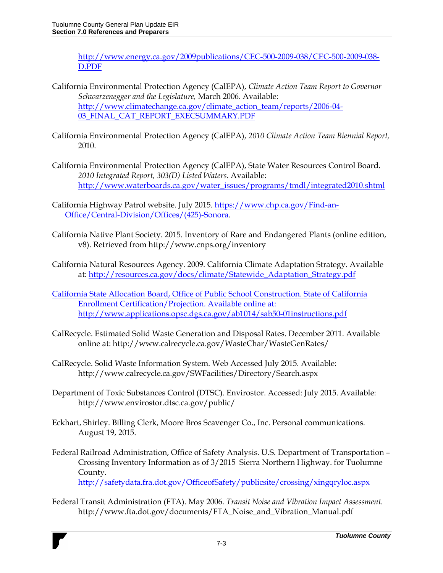[http://www.energy.ca.gov/2009publications/CEC-500-2009-038/CEC-500-2009-038-](http://www.energy.ca.gov/2009publications/CEC-500-2009-038/CEC-500-2009-038-D.PDF) [D.PDF](http://www.energy.ca.gov/2009publications/CEC-500-2009-038/CEC-500-2009-038-D.PDF)

- California Environmental Protection Agency (CalEPA), *Climate Action Team Report to Governor Schwarzenegger and the Legislature,* March 2006. Available: [http://www.climatechange.ca.gov/climate\\_action\\_team/reports/2006-04-](http://www.climatechange.ca.gov/climate_action_team/reports/2006-04-03_FINAL_CAT_REPORT_EXECSUMMARY.PDF) [03\\_FINAL\\_CAT\\_REPORT\\_EXECSUMMARY.PDF](http://www.climatechange.ca.gov/climate_action_team/reports/2006-04-03_FINAL_CAT_REPORT_EXECSUMMARY.PDF)
- California Environmental Protection Agency (CalEPA), *2010 Climate Action Team Biennial Report,*  2010.
- California Environmental Protection Agency (CalEPA), State Water Resources Control Board. *2010 Integrated Report, 303(D) Listed Waters*. Available: [http://www.waterboards.ca.gov/water\\_issues/programs/tmdl/integrated2010.shtml](http://www.waterboards.ca.gov/water_issues/programs/tmdl/integrated2010.shtml)
- California Highway Patrol website. July 2015[. https://www.chp.ca.gov/Find-an-](https://www.chp.ca.gov/Find-an-Office/Central-Division/Offices/(425)-Sonora)[Office/Central-Division/Offices/\(425\)-Sonora.](https://www.chp.ca.gov/Find-an-Office/Central-Division/Offices/(425)-Sonora)
- California Native Plant Society. 2015. Inventory of Rare and Endangered Plants (online edition, v8). Retrieved from http://www.cnps.org/inventory
- California Natural Resources Agency. 2009. California Climate Adaptation Strategy. Available at: [http://resources.ca.gov/docs/climate/Statewide\\_Adaptation\\_Strategy.pdf](http://resources.ca.gov/docs/climate/Statewide_Adaptation_Strategy.pdf)
- California State Allocation Board, Office of Public School Construction. State of California Enrollment Certification/Projection. Available online at: http://www.applications.opsc.dgs.ca.gov/ab1014/sab50-01instructions.pdf
- CalRecycle. Estimated Solid Waste Generation and Disposal Rates. December 2011. Available online at: http://www.calrecycle.ca.gov/WasteChar/WasteGenRates/
- CalRecycle. Solid Waste Information System. Web Accessed July 2015. Available: http://www.calrecycle.ca.gov/SWFacilities/Directory/Search.aspx
- Department of Toxic Substances Control (DTSC). Envirostor. Accessed: July 2015. Available: http://www.envirostor.dtsc.ca.gov/public/
- Eckhart, Shirley. Billing Clerk, Moore Bros Scavenger Co., Inc. Personal communications. August 19, 2015.
- Federal Railroad Administration, Office of Safety Analysis. U.S. Department of Transportation Crossing Inventory Information as of 3/2015 Sierra Northern Highway. for Tuolumne County. <http://safetydata.fra.dot.gov/OfficeofSafety/publicsite/crossing/xingqryloc.aspx>
- Federal Transit Administration (FTA). May 2006. *Transit Noise and Vibration Impact Assessment.*  http://www.fta.dot.gov/documents/FTA\_Noise\_and\_Vibration\_Manual.pdf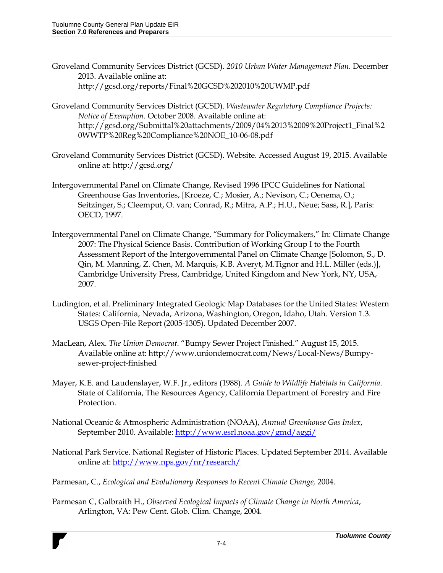- Groveland Community Services District (GCSD). *2010 Urban Water Management Plan*. December 2013. Available online at: http://gcsd.org/reports/Final%20GCSD%202010%20UWMP.pdf
- Groveland Community Services District (GCSD). *Wastewater Regulatory Compliance Projects: Notice of Exemption*. October 2008. Available online at: http://gcsd.org/Submittal%20attachments/2009/04%2013%2009%20Project1\_Final%2 0WWTP%20Reg%20Compliance%20NOE\_10-06-08.pdf
- Groveland Community Services District (GCSD). Website. Accessed August 19, 2015. Available online at: http://gcsd.org/
- Intergovernmental Panel on Climate Change, Revised 1996 IPCC Guidelines for National Greenhouse Gas Inventories, [Kroeze, C.; Mosier, A.; Nevison, C.; Oenema, O.; Seitzinger, S.; Cleemput, O. van; Conrad, R.; Mitra, A.P.; H.U., Neue; Sass, R.], Paris: OECD, 1997.
- Intergovernmental Panel on Climate Change, "Summary for Policymakers," In: Climate Change 2007: The Physical Science Basis. Contribution of Working Group I to the Fourth Assessment Report of the Intergovernmental Panel on Climate Change [Solomon, S., D. Qin, M. Manning, Z. Chen, M. Marquis, K.B. Averyt, M.Tignor and H.L. Miller (eds.)], Cambridge University Press, Cambridge, United Kingdom and New York, NY, USA, 2007.
- Ludington, et al. Preliminary Integrated Geologic Map Databases for the United States: Western States: California, Nevada, Arizona, Washington, Oregon, Idaho, Utah. Version 1.3. USGS Open-File Report (2005-1305). Updated December 2007.
- MacLean, Alex. *The Union Democrat*. "Bumpy Sewer Project Finished." August 15, 2015. Available online at: http://www.uniondemocrat.com/News/Local-News/Bumpysewer-project-finished
- Mayer, K.E. and Laudenslayer, W.F. Jr., editors (1988). *A Guide to Wildlife Habitats in California*. State of California, The Resources Agency, California Department of Forestry and Fire Protection.
- National Oceanic & Atmospheric Administration (NOAA), *Annual Greenhouse Gas Index*, September 2010. Available:<http://www.esrl.noaa.gov/gmd/aggi/>
- National Park Service. National Register of Historic Places. Updated September 2014. Available online at:<http://www.nps.gov/nr/research/>
- Parmesan, C., *Ecological and Evolutionary Responses to Recent Climate Change,* 2004.
- Parmesan C, Galbraith H., *Observed Ecological Impacts of Climate Change in North America*, Arlington, VA: Pew Cent. Glob. Clim. Change, 2004.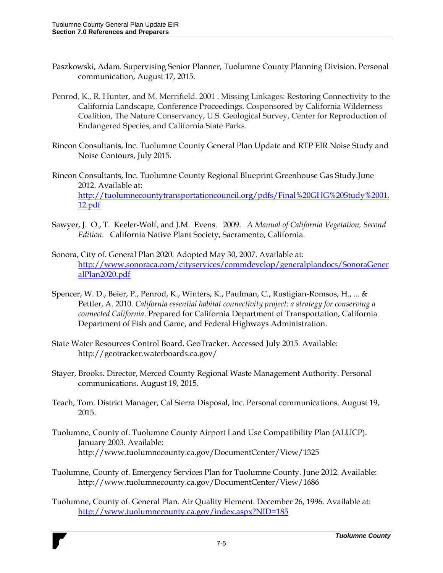- Paszkowski, Adam. Supervising Senior Planner, Tuolumne County Planning Division. Personal communication, August 17, 2015.
- Penrod, K., R. Hunter, and M. Merrifield. 2001 . Missing Linkages: Restoring Connectivity to the California Landscape, Conference Proceedings. Cosponsored by California Wilderness Coalition, The Nature Conservancy, U.S. Geological Survey, Center for Reproduction of Endangered Species, and California State Parks.
- Rincon Consultants, Inc. Tuolumne County General Plan Update and RTP EIR Noise Study and Noise Contours, July 2015.
- Rincon Consultants, Inc. Tuolumne County Regional Blueprint Greenhouse Gas Study.June 2012. Available at: [http://tuolumnecountytransportationcouncil.org/pdfs/Final%20GHG%20Study%2001.](http://tuolumnecountytransportationcouncil.org/pdfs/Final%20GHG%20Study%2001.12.pdf) [12.pdf](http://tuolumnecountytransportationcouncil.org/pdfs/Final%20GHG%20Study%2001.12.pdf)
- Sawyer, J. O., T. Keeler-Wolf, and J.M. Evens. 2009. *A Manual of California Vegetation, Second Edition.* California Native Plant Society, Sacramento, California.
- Sonora, City of. General Plan 2020. Adopted May 30, 2007. Available at: [http://www.sonoraca.com/cityservices/commdevelop/generalplandocs/SonoraGener](http://www.sonoraca.com/cityservices/commdevelop/generalplandocs/SonoraGeneralPlan2020.pdf) [alPlan2020.pdf](http://www.sonoraca.com/cityservices/commdevelop/generalplandocs/SonoraGeneralPlan2020.pdf)
- Spencer, W. D., Beier, P., Penrod, K., Winters, K., Paulman, C., Rustigian-Romsos, H., ... & Pettler, A. 2010. *California essential habitat connectivity project: a strategy for conserving a connected California*. Prepared for California Department of Transportation, California Department of Fish and Game, and Federal Highways Administration.
- State Water Resources Control Board. GeoTracker. Accessed July 2015. Available: http://geotracker.waterboards.ca.gov/
- Stayer, Brooks. Director, Merced County Regional Waste Management Authority. Personal communications. August 19, 2015.
- Teach, Tom. District Manager, Cal Sierra Disposal, Inc. Personal communications. August 19, 2015.
- Tuolumne, County of. Tuolumne County Airport Land Use Compatibility Plan (ALUCP). January 2003. Available: http://www.tuolumnecounty.ca.gov/DocumentCenter/View/1325
- Tuolumne, County of. Emergency Services Plan for Tuolumne County. June 2012. Available: http://www.tuolumnecounty.ca.gov/DocumentCenter/View/1686
- Tuolumne, County of. General Plan. Air Quality Element. December 26, 1996. Available at: <http://www.tuolumnecounty.ca.gov/index.aspx?NID=185>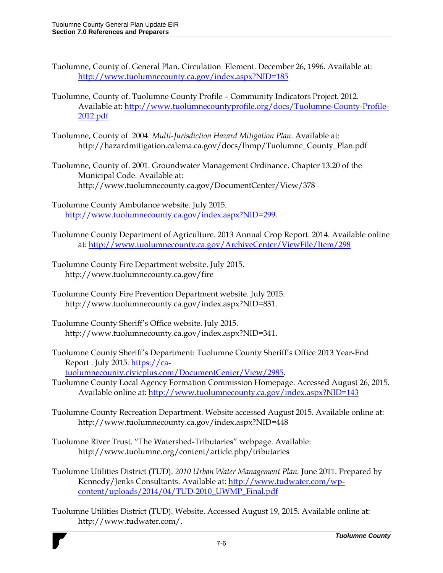- Tuolumne, County of. General Plan. Circulation Element. December 26, 1996. Available at: <http://www.tuolumnecounty.ca.gov/index.aspx?NID=185>
- Tuolumne, County of. Tuolumne County Profile Community Indicators Project. 2012. Available at: [http://www.tuolumnecountyprofile.org/docs/Tuolumne-County-Profile-](http://www.tuolumnecountyprofile.org/docs/Tuolumne-County-Profile-2012.pdf)[2012.pdf](http://www.tuolumnecountyprofile.org/docs/Tuolumne-County-Profile-2012.pdf)
- Tuolumne, County of. 2004. *Multi-Jurisdiction Hazard Mitigation Plan*. Available at: http://hazardmitigation.calema.ca.gov/docs/lhmp/Tuolumne\_County\_Plan.pdf
- Tuolumne, County of. 2001. Groundwater Management Ordinance. Chapter 13.20 of the Municipal Code. Available at: http://www.tuolumnecounty.ca.gov/DocumentCenter/View/378
- Tuolumne County Ambulance website. July 2015. [http://www.tuolumnecounty.ca.gov/index.aspx?NID=299.](http://www.tuolumnecounty.ca.gov/index.aspx?NID=299)
- Tuolumne County Department of Agriculture. 2013 Annual Crop Report. 2014. Available online at:<http://www.tuolumnecounty.ca.gov/ArchiveCenter/ViewFile/Item/298>
- Tuolumne County Fire Department website. July 2015. http://www.tuolumnecounty.ca.gov/fire
- Tuolumne County Fire Prevention Department website. July 2015. http://www.tuolumnecounty.ca.gov/index.aspx?NID=831.
- Tuolumne County Sheriff's Office website. July 2015. http://www.tuolumnecounty.ca.gov/index.aspx?NID=341.
- Tuolumne County Sheriff's Department: Tuolumne County Sheriff's Office 2013 Year-End Report . July 2015. [https://ca](https://ca-tuolumnecounty.civicplus.com/DocumentCenter/View/2985)[tuolumnecounty.civicplus.com/DocumentCenter/View/2985.](https://ca-tuolumnecounty.civicplus.com/DocumentCenter/View/2985)
- Tuolumne County Local Agency Formation Commission Homepage. Accessed August 26, 2015. Available online at:<http://www.tuolumnecounty.ca.gov/index.aspx?NID=143>
- Tuolumne County Recreation Department. Website accessed August 2015. Available online at: http://www.tuolumnecounty.ca.gov/index.aspx?NID=448
- Tuolumne River Trust. "The Watershed-Tributaries" webpage. Available: http://www.tuolumne.org/content/article.php/tributaries
- Tuolumne Utilities District (TUD). *2010 Urban Water Management Plan.* June 2011. Prepared by Kennedy/Jenks Consultants. Available at[: http://www.tudwater.com/wp](http://www.tudwater.com/wp-content/uploads/2014/04/TUD-2010_UWMP_Final.pdf)[content/uploads/2014/04/TUD-2010\\_UWMP\\_Final.pdf](http://www.tudwater.com/wp-content/uploads/2014/04/TUD-2010_UWMP_Final.pdf)
- Tuolumne Utilities District (TUD). Website. Accessed August 19, 2015. Available online at: http://www.tudwater.com/.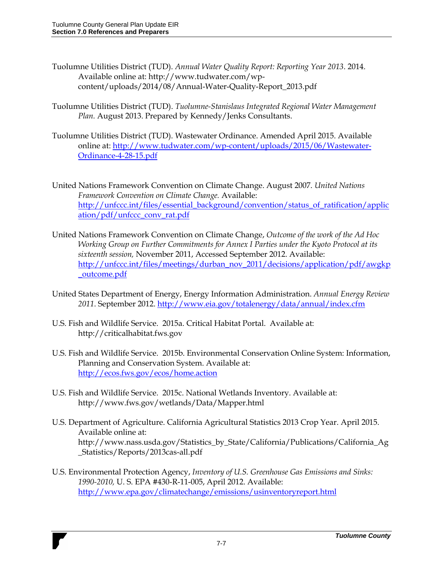- Tuolumne Utilities District (TUD). *Annual Water Quality Report: Reporting Year 2013*. 2014. Available online at: http://www.tudwater.com/wpcontent/uploads/2014/08/Annual-Water-Quality-Report\_2013.pdf
- Tuolumne Utilities District (TUD). *Tuolumne-Stanislaus Integrated Regional Water Management Plan.* August 2013. Prepared by Kennedy/Jenks Consultants.
- Tuolumne Utilities District (TUD). Wastewater Ordinance. Amended April 2015. Available online at: [http://www.tudwater.com/wp-content/uploads/2015/06/Wastewater-](http://www.tudwater.com/wp-content/uploads/2015/06/Wastewater-Ordinance-4-28-15.pdf)[Ordinance-4-28-15.pdf](http://www.tudwater.com/wp-content/uploads/2015/06/Wastewater-Ordinance-4-28-15.pdf)
- United Nations Framework Convention on Climate Change. August 2007. *United Nations Framework Convention on Climate Change.* Available: [http://unfccc.int/files/essential\\_background/convention/status\\_of\\_ratification/applic](http://unfccc.int/files/essential_background/convention/status_of_ratification/application/pdf/unfccc_conv_rat.pdf) [ation/pdf/unfccc\\_conv\\_rat.pdf](http://unfccc.int/files/essential_background/convention/status_of_ratification/application/pdf/unfccc_conv_rat.pdf)
- United Nations Framework Convention on Climate Change, *Outcome of the work of the Ad Hoc Working Group on Further Commitments for Annex I Parties under the Kyoto Protocol at its sixteenth session,* November 2011, Accessed September 2012. Available: [http://unfccc.int/files/meetings/durban\\_nov\\_2011/decisions/application/pdf/awgkp](http://unfccc.int/files/meetings/durban_nov_2011/decisions/application/pdf/awgkp_outcome.pdf) [\\_outcome.pdf](http://unfccc.int/files/meetings/durban_nov_2011/decisions/application/pdf/awgkp_outcome.pdf)
- United States Department of Energy, Energy Information Administration. *Annual Energy Review 2011*. September 2012[. http://www.eia.gov/totalenergy/data/annual/index.cfm](http://www.eia.gov/totalenergy/data/annual/index.cfm)
- U.S. Fish and Wildlife Service. 2015a. Critical Habitat Portal. Available at: [http://criticalhabitat.fws.gov](http://criticalhabitat.fws.gov/)
- U.S. Fish and Wildlife Service. 2015b. Environmental Conservation Online System: Information, Planning and Conservation System. Available at: <http://ecos.fws.gov/ecos/home.action>
- U.S. Fish and Wildlife Service. 2015c. National Wetlands Inventory. Available at: <http://www.fws.gov/wetlands/Data/Mapper.html>
- U.S. Department of Agriculture. California Agricultural Statistics 2013 Crop Year. April 2015. Available online at: http://www.nass.usda.gov/Statistics\_by\_State/California/Publications/California\_Ag \_Statistics/Reports/2013cas-all.pdf
- U.S. Environmental Protection Agency, *Inventory of U.S. Greenhouse Gas Emissions and Sinks: 1990-2010,* U. S. EPA #430-R-11-005, April 2012. Available: <http://www.epa.gov/climatechange/emissions/usinventoryreport.html>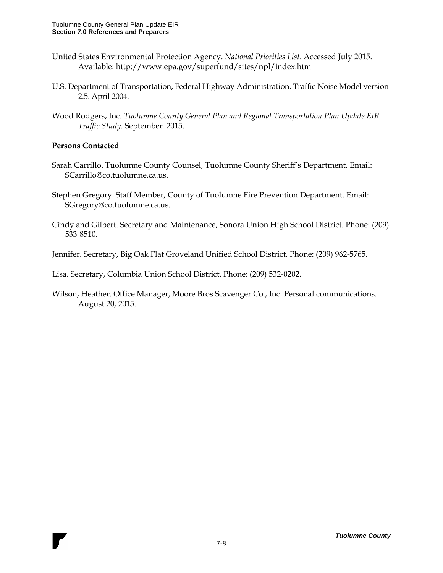- United States Environmental Protection Agency. *National Priorities List*. Accessed July 2015. Available: http://www.epa.gov/superfund/sites/npl/index.htm
- U.S. Department of Transportation, Federal Highway Administration. Traffic Noise Model version 2.5. April 2004.
- Wood Rodgers, Inc. *Tuolumne County General Plan and Regional Transportation Plan Update EIR Traffic Study.* September 2015.

### **Persons Contacted**

- Sarah Carrillo. Tuolumne County Counsel, Tuolumne County Sheriff's Department. Email: SCarrillo@co.tuolumne.ca.us.
- Stephen Gregory. Staff Member, County of Tuolumne Fire Prevention Department. Email: SGregory@co.tuolumne.ca.us.
- Cindy and Gilbert. Secretary and Maintenance, Sonora Union High School District. Phone: (209) 533-8510.

Jennifer. Secretary, Big Oak Flat Groveland Unified School District. Phone: (209) 962-5765.

Lisa. Secretary, Columbia Union School District. Phone: (209) 532-0202.

Wilson, Heather. Office Manager, Moore Bros Scavenger Co., Inc. Personal communications. August 20, 2015.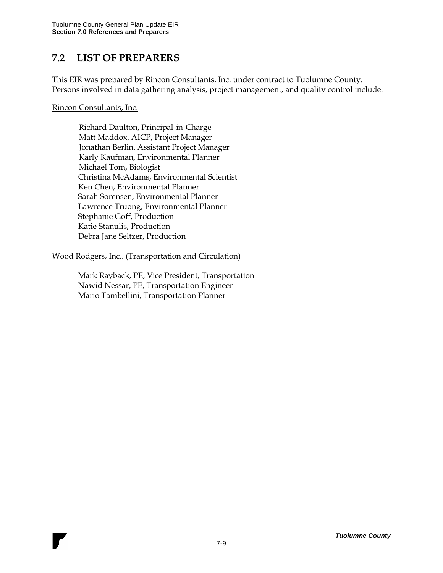## **7.2 LIST OF PREPARERS**

This EIR was prepared by Rincon Consultants, Inc. under contract to Tuolumne County. Persons involved in data gathering analysis, project management, and quality control include:

#### Rincon Consultants, Inc.

Richard Daulton, Principal-in-Charge Matt Maddox, AICP, Project Manager Jonathan Berlin, Assistant Project Manager Karly Kaufman, Environmental Planner Michael Tom, Biologist Christina McAdams, Environmental Scientist Ken Chen, Environmental Planner Sarah Sorensen, Environmental Planner Lawrence Truong, Environmental Planner Stephanie Goff, Production Katie Stanulis, Production Debra Jane Seltzer, Production

#### Wood Rodgers, Inc.. (Transportation and Circulation)

Mark Rayback, PE, Vice President, Transportation Nawid Nessar, PE, Transportation Engineer Mario Tambellini, Transportation Planner